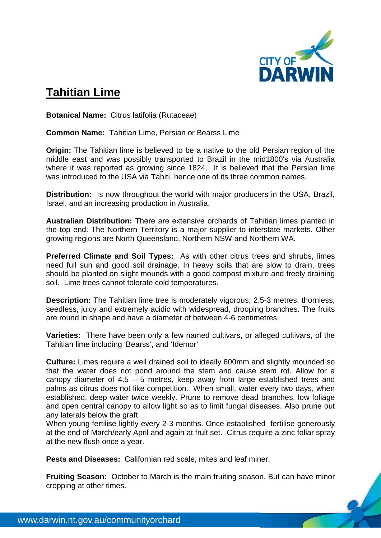

## **Tahitian Lime**

**Botanical Name:** Citrus latifolia (Rutaceae)

**Common Name:** Tahitian Lime, Persian or Bearss Lime

**Origin:** The Tahitian lime is believed to be a native to the old Persian region of the middle east and was possibly transported to Brazil in the mid1800's via Australia where it was reported as growing since 1824. It is believed that the Persian lime was introduced to the USA via Tahiti, hence one of its three common names.

**Distribution:** Is now throughout the world with major producers in the USA, Brazil, Israel, and an increasing production in Australia.

**Australian Distribution:** There are extensive orchards of Tahitian limes planted in the top end. The Northern Territory is a major supplier to interstate markets. Other growing regions are North Queensland, Northern NSW and Northern WA.

**Preferred Climate and Soil Types:** As with other citrus trees and shrubs, limes need full sun and good soil drainage. In heavy soils that are slow to drain, trees should be planted on slight mounds with a good compost mixture and freely draining soil. Lime trees cannot tolerate cold temperatures.

**Description:** The Tahitian lime tree is moderately vigorous, 2.5-3 metres, thornless, seedless, juicy and extremely acidic with widespread, drooping branches. The fruits are round in shape and have a diameter of between 4-6 centimetres.

**Varieties:** There have been only a few named cultivars, or alleged cultivars, of the Tahitian lime including 'Bearss', and 'Idemor'

**Culture:** Limes require a well drained soil to ideally 600mm and slightly mounded so that the water does not pond around the stem and cause stem rot. Allow for a canopy diameter of 4.5 – 5 metres, keep away from large established trees and palms as citrus does not like competition. When small, water every two days, when established, deep water twice weekly. Prune to remove dead branches, low foliage and open central canopy to allow light so as to limit fungal diseases. Also prune out any laterals below the graft.

When young fertilise lightly every 2-3 months. Once established fertilise generously at the end of March/early April and again at fruit set. Citrus require a zinc foliar spray at the new flush once a year.

**Pests and Diseases:** Californian red scale, mites and leaf miner.

**Fruiting Season:** October to March is the main fruiting season. But can have minor cropping at other times.